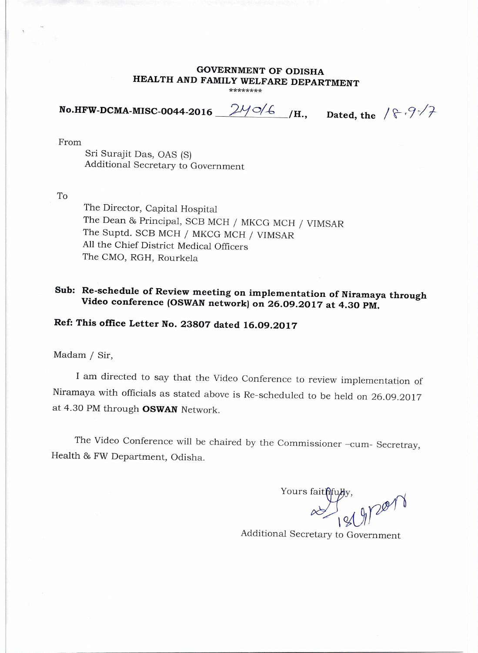#### **GOVERNMENT OF ODISHA HEALTH AND FAMILY WELFARE DEPARTMENT \*\*\*\*\*\*\*\***

**No.HFW-DCMA-MISC-0044-2016**  $24\frac{34}{6}$  /H., Dated, the  $8\frac{34}{7}$ 

From

Sri Surajit Das, OAS (S) Additional Secretary to Government

To

The Director, Capital Hospital The Dean & Principal, SCB MCH / MKCG MCH / VIMSAR The Suptd. SCB MCH / MKCG MCH / VIMSAR All the Chief District Medical Officers The CMO, RGH, Rourkela

# **Sub: Re-schedule of Review meeting on implementation of Niramaya through Video conference (OSWAN network) on 26.09.2017 at 4.30 PM.**

## **Ref: This office Letter No. 23807 dated 16.09.2017**

### Madam / Sir,

I am directed to say that the Video Conference to review implementation of Niramaya with officials as stated above is Re-scheduled to be held on 26.09.2017 at 4.30 PM through **OSWAN** Network.

The Video Conference will be chaired by the Commissioner -cum- Secretray, Health 86 FW Department, Odisha.

Yours faithfu  $\frac{1}{9000}$ 

Additional Secretary to Government